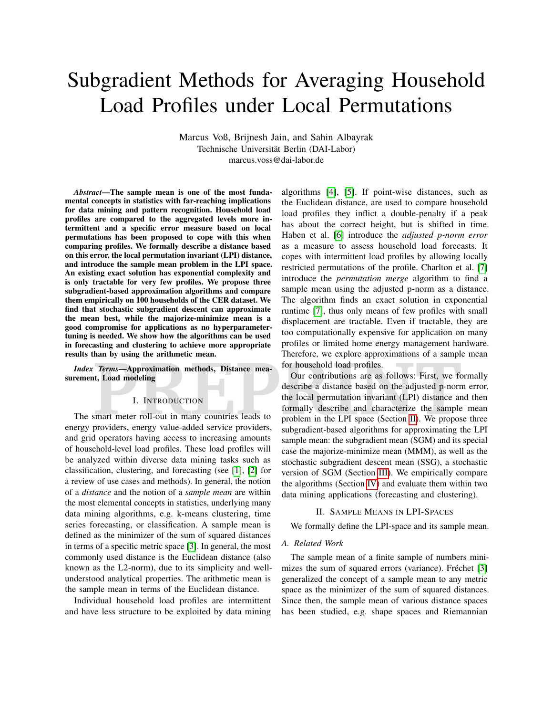# Subgradient Methods for Averaging Household Load Profiles under Local Permutations

Marcus Voß, Brijnesh Jain, and Sahin Albayrak Technische Universität Berlin (DAI-Labor) marcus.voss@dai-labor.de

*Abstract*—The sample mean is one of the most fundamental concepts in statistics with far-reaching implications for data mining and pattern recognition. Household load profiles are compared to the aggregated levels more intermittent and a specific error measure based on local permutations has been proposed to cope with this when comparing profiles. We formally describe a distance based on this error, the local permutation invariant (LPI) distance, and introduce the sample mean problem in the LPI space. An existing exact solution has exponential complexity and is only tractable for very few profiles. We propose three subgradient-based approximation algorithms and compare them empirically on 100 households of the CER dataset. We find that stochastic subgradient descent can approximate the mean best, while the majorize-minimize mean is a good compromise for applications as no hyperparametertuning is needed. We show how the algorithms can be used in forecasting and clustering to achieve more appropriate results than by using the arithmetic mean.

*Index Terms*—Approximation methods, Distance measurement, Load modeling

#### I. INTRODUCTION

The smart meter roll-out in many countries leads to energy providers, energy value-added service providers, and grid operators having access to increasing amounts of household-level load profiles. These load profiles will be analyzed within diverse data mining tasks such as classification, clustering, and forecasting (see [\[1\]](#page-5-0), [\[2\]](#page-5-1) for a review of use cases and methods). In general, the notion of a *distance* and the notion of a *sample mean* are within the most elemental concepts in statistics, underlying many data mining algorithms, e.g. k-means clustering, time series forecasting, or classification. A sample mean is defined as the minimizer of the sum of squared distances in terms of a specific metric space [\[3\]](#page-5-2). In general, the most commonly used distance is the Euclidean distance (also known as the L2-norm), due to its simplicity and wellunderstood analytical properties. The arithmetic mean is the sample mean in terms of the Euclidean distance.

Individual household load profiles are intermittent and have less structure to be exploited by data mining algorithms [\[4\]](#page-5-3), [\[5\]](#page-5-4). If point-wise distances, such as the Euclidean distance, are used to compare household load profiles they inflict a double-penalty if a peak has about the correct height, but is shifted in time. Haben et al. [\[6\]](#page-5-5) introduce the *adjusted p-norm error* as a measure to assess household load forecasts. It copes with intermittent load profiles by allowing locally restricted permutations of the profile. Charlton et al. [\[7\]](#page-5-6) introduce the *permutation merge* algorithm to find a sample mean using the adjusted p-norm as a distance. The algorithm finds an exact solution in exponential runtime [\[7\]](#page-5-6), thus only means of few profiles with small displacement are tractable. Even if tractable, they are too computationally expensive for application on many profiles or limited home energy management hardware. Therefore, we explore approximations of a sample mean for household load profiles.

**Primary disting the antimiede meature of the contributions of a sample of the contributions are as follows: First, we for household load profiles.<br>
<b>Primary Approximation methods, Distance meature of the local permutation** Our contributions are as follows: First, we formally describe a distance based on the adjusted p-norm error, the local permutation invariant (LPI) distance and then formally describe and characterize the sample mean problem in the LPI space (Section II). We propose three subgradient-based algorithms for approximating the LPI sample mean: the subgradient mean (SGM) and its special case the majorize-minimize mean (MMM), as well as the stochastic subgradient descent mean (SSG), a stochastic version of SGM (Section [III\)](#page-2-0). We empirically compare the algorithms (Section [IV\)](#page-3-0) and evaluate them within two data mining applications (forecasting and clustering).

## II. SAMPLE MEANS IN LPI-SPACES

<span id="page-0-0"></span>We formally define the LPI-space and its sample mean.

#### *A. Related Work*

The sample mean of a finite sample of numbers mini-mizes the sum of squared errors (variance). Fréchet [\[3\]](#page-5-2) generalized the concept of a sample mean to any metric space as the minimizer of the sum of squared distances. Since then, the sample mean of various distance spaces has been studied, e.g. shape spaces and Riemannian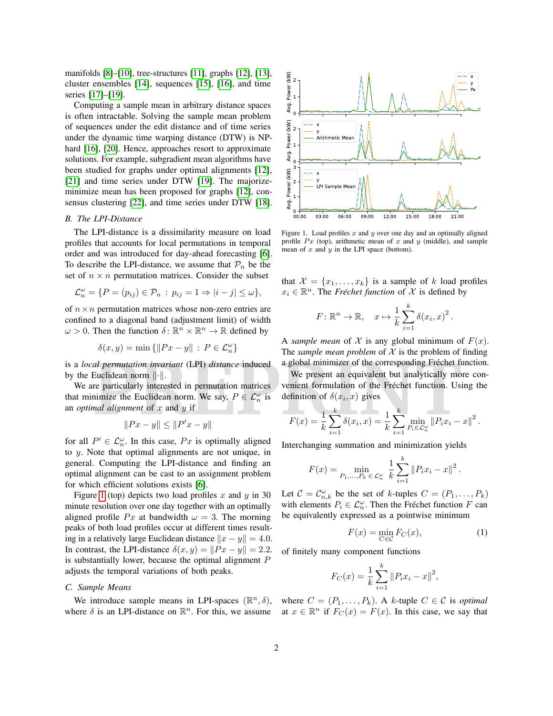manifolds [\[8\]](#page-5-7)–[\[10\]](#page-5-8), tree-structures [\[11\]](#page-5-9), graphs [\[12\]](#page-5-10), [\[13\]](#page-5-11), cluster ensembles [\[14\]](#page-5-12), sequences [\[15\]](#page-5-13), [\[16\]](#page-5-14), and time series [\[17\]](#page-5-15)–[\[19\]](#page-5-16).

Computing a sample mean in arbitrary distance spaces is often intractable. Solving the sample mean problem of sequences under the edit distance and of time series under the dynamic time warping distance (DTW) is NP-hard [\[16\]](#page-5-14), [\[20\]](#page-5-17). Hence, approaches resort to approximate solutions. For example, subgradient mean algorithms have been studied for graphs under optimal alignments [\[12\]](#page-5-10), [\[21\]](#page-5-18) and time series under DTW [\[19\]](#page-5-16). The majorizeminimize mean has been proposed for graphs [\[12\]](#page-5-10), consensus clustering [\[22\]](#page-5-19), and time series under DTW [\[18\]](#page-5-20).

# *B. The LPI-Distance*

The LPI-distance is a dissimilarity measure on load profiles that accounts for local permutations in temporal order and was introduced for day-ahead forecasting [\[6\]](#page-5-5). To describe the LPI-distance, we assume that  $\mathcal{P}_n$  be the set of  $n \times n$  permutation matrices. Consider the subset

$$
\mathcal{L}_n^{\omega} = \{ P = (p_{ij}) \in \mathcal{P}_n : p_{ij} = 1 \Rightarrow |i - j| \le \omega \},\
$$

of  $n \times n$  permutation matrices whose non-zero entries are confined to a diagonal band (adjustment limit) of width  $\omega > 0$ . Then the function  $\delta \colon \mathbb{R}^n \times \mathbb{R}^n \to \mathbb{R}$  defined by

$$
\delta(x, y) = \min\left\{ \|Px - y\| \, : \, P \in \mathcal{L}_n^\omega \right\}
$$

is a *local permutation invariant* (LPI) *distance* induced by the Euclidean norm  $\|\cdot\|$ .

al permutation invariant (LPI) distance induced a global minimizer of the corresponding Fréchet fi<br>
Euclidean norm  $\|\cdot\|$ .<br>
We present an equivalent but analytically move particularly interested in permutation matrices<br> We are particularly interested in permutation matrices that minimize the Euclidean norm. We say,  $P \in \mathcal{L}_n^{\omega}$  is an *optimal alignment* of x and y if

$$
||Px - y|| \le ||P'x - y||
$$

for all  $P' \in \mathcal{L}_n^{\omega}$ . In this case,  $Px$  is optimally aligned to y. Note that optimal alignments are not unique, in general. Computing the LPI-distance and finding an optimal alignment can be cast to an assignment problem for which efficient solutions exists [\[6\]](#page-5-5).

Figure [1](#page-1-0) (top) depicts two load profiles x and y in 30 minute resolution over one day together with an optimally aligned profile Px at bandwidth  $\omega = 3$ . The morning peaks of both load profiles occur at different times resulting in a relatively large Euclidean distance  $||x - y|| = 4.0$ . In contrast, the LPI-distance  $\delta(x, y) = ||Px - y|| = 2.2$ . is substantially lower, because the optimal alignment  $P$ adjusts the temporal variations of both peaks.

# *C. Sample Means*

where  $\delta$  is an LPI-distance on  $\mathbb{R}^n$ . For this, we assume at  $x \in \mathbb{R}^n$  if  $F_C(x) = F(x)$ . In this case, we say that



<span id="page-1-0"></span>Figure 1. Load profiles  $x$  and  $y$  over one day and an optimally aligned profile  $Px$  (top), arithmetic mean of x and y (middle), and sample mean of  $x$  and  $y$  in the LPI space (bottom).

that  $\mathcal{X} = \{x_1, \ldots, x_k\}$  is a sample of k load profiles  $x_i \in \mathbb{R}^n$ . The *Fréchet function* of  $\mathcal{X}$  is defined by

$$
F: \mathbb{R}^n \to \mathbb{R}, \quad x \mapsto \frac{1}{k} \sum_{i=1}^k \delta(x_i, x)^2.
$$

A *sample mean* of X is any global minimum of  $F(x)$ . The *sample mean problem* of  $X$  is the problem of finding a global minimizer of the corresponding Fréchet function.

We present an equivalent but analytically more convenient formulation of the Fréchet function. Using the definition of  $\delta(x_i, x)$  gives

$$
F(x) = \frac{1}{k} \sum_{i=1}^{k} \delta(x_i, x) = \frac{1}{k} \sum_{i=1}^{k} \min_{P_i \in \mathcal{L}_n^{\omega}} \|P_i x_i - x\|^2.
$$

Interchanging summation and minimization yields

$$
F(x) = \min_{P_1, ..., P_k \in \mathcal{L}_n^{\omega}} \frac{1}{k} \sum_{i=1}^k ||P_i x_i - x||^2
$$

Let  $C = C_{n,k}^{\omega}$  be the set of k-tuples  $C = (P_1, \ldots, P_k)$ with elements  $P_i \in \mathcal{L}_n^{\omega}$ . Then the Fréchet function F can be equivalently expressed as a pointwise minimum

$$
F(x) = \min_{C \in \mathcal{C}} F_C(x),\tag{1}
$$

.

of finitely many component functions

$$
F_C(x) = \frac{1}{k} \sum_{i=1}^{k} ||P_i x_i - x||^2,
$$

We introduce sample means in LPI-spaces  $(\mathbb{R}^n, \delta)$ , where  $C = (P_1, \ldots, P_k)$ . A k-tuple  $C \in \mathcal{C}$  is *optimal*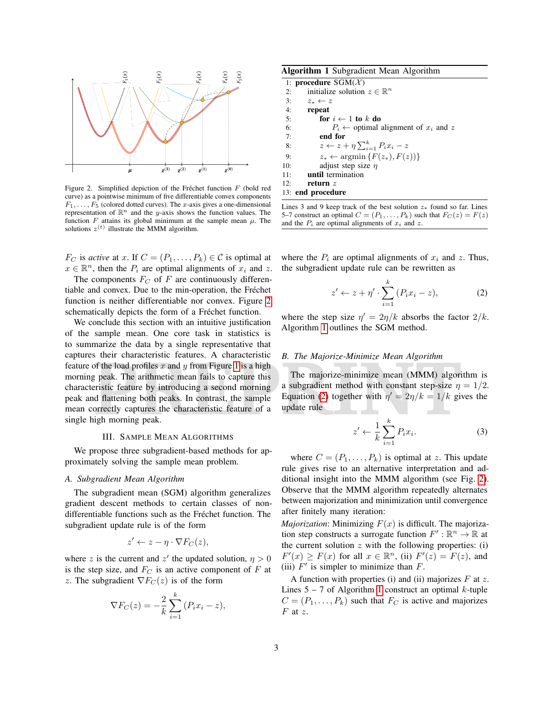

<span id="page-2-1"></span>Figure 2. Simplified depiction of the Fréchet function  $F$  (bold red curve) as a pointwise minimum of five differentiable convex components  $F_1, \ldots, F_5$  (colored dotted curves). The x-axis gives a one-dimensional representation of  $\mathbb{R}^n$  and the y-axis shows the function values. The function  $F$  attains its global minimum at the sample mean  $\mu$ . The solutions  $z^{(t)}$  illustrate the MMM algorithm.

 $F_C$  is *active* at x. If  $C = (P_1, \ldots, P_k) \in \mathcal{C}$  is optimal at  $x \in \mathbb{R}^n$ , then the  $P_i$  are optimal alignments of  $x_i$  and z.

The components  $F_C$  of F are continuously differentiable and convex. Due to the min-operation, the Fréchet function is neither differentiable nor convex. Figure [2](#page-2-1) schematically depicts the form of a Fréchet function.

**P[R](#page-2-3)ODUCE 18 Intervalled Example 18 Intervalled B. The Majorize-Minimize Mean Algorithm<br>
If the load profiles x and y from Figure 1 is a high<br>
If peak. The arithmetic mean fails to capture this<br>
The majorize-minimize mean** We conclude this section with an intuitive justification of the sample mean. One core task in statistics is to summarize the data by a single representative that captures their characteristic features. A characteristic feature of the load profiles x and y from Figure 1 is a high morning peak. The arithmetic mean fails to capture this characteristic feature by introducing a second morning peak and flattening both peaks. In contrast, the sample mean correctly captures the characteristic feature of a single high morning peak.

## III. SAMPLE MEAN ALGORITHMS

<span id="page-2-0"></span>We propose three subgradient-based methods for approximately solving the sample mean problem.

#### *A. Subgradient Mean Algorithm*

The subgradient mean (SGM) algorithm generalizes gradient descent methods to certain classes of nondifferentiable functions such as the Fréchet function. The subgradient update rule is of the form

$$
z' \leftarrow z - \eta \cdot \nabla F_C(z),
$$

where z is the current and  $z'$  the updated solution,  $\eta > 0$ is the step size, and  $F_C$  is an active component of F at z. The subgradient  $\nabla F_C(z)$  is of the form

$$
\nabla F_C(z) = -\frac{2}{k} \sum_{i=1}^k (P_i x_i - z),
$$

<span id="page-2-2"></span>

1: procedure  $SGM(\mathcal{X})$ 2: initialize solution  $z \in \mathbb{R}^n$ 3:  $z_* \leftarrow z$ 4: repeat 5: for  $i \leftarrow 1$  to k do 6:  $P_i \leftarrow$  optimal alignment of  $x_i$  and  $z$ <br>7: **end for** end for 8:  $z \leftarrow z + \eta \sum_{i=1}^{k} P_i x_i - z$ 9:  $z_* \leftarrow \operatorname{argmin} \{F(z_*), F(z)\}\$ 10: adjust step size  $\eta$ 11: until termination 12: return z 13: end procedure

Lines 3 and 9 keep track of the best solution  $z*$  found so far. Lines 5–7 construct an optimal  $C = (P_1, \ldots, P_k)$  such that  $F_C(z) = F(z)$ and the  $P_i$  are optimal alignments of  $x_i$  and z.

where the  $P_i$  are optimal alignments of  $x_i$  and  $z$ . Thus, the subgradient update rule can be rewritten as

<span id="page-2-3"></span>
$$
z' \leftarrow z + \eta' \cdot \sum_{i=1}^{k} (P_i x_i - z), \tag{2}
$$

where the step size  $\eta' = 2\eta/k$  absorbs the factor  $2/k$ . Algorithm [1](#page-2-2) outlines the SGM method.

## *B. The Majorize-Minimize Mean Algorithm*

The majorize-minimize mean (MMM) algorithm is a subgradient method with constant step-size  $\eta = 1/2$ . Equation (2) together with  $\eta' = 2\eta/k = 1/k$  gives the update rule

<span id="page-2-4"></span>
$$
z' \leftarrow \frac{1}{k} \sum_{i=1}^{k} P_i x_i.
$$
 (3)

where  $C = (P_1, \ldots, P_k)$  is optimal at z. This update rule gives rise to an alternative interpretation and additional insight into the MMM algorithm (see Fig. [2\)](#page-2-1). Observe that the MMM algorithm repeatedly alternates between majorization and minimization until convergence after finitely many iteration:

*Majorization*: Minimizing  $F(x)$  is difficult. The majorization step constructs a surrogate function  $F' : \mathbb{R}^n \to \mathbb{R}$  at the current solution  $z$  with the following properties: (i)  $F'(x) \geq F(x)$  for all  $x \in \mathbb{R}^n$ , (ii)  $F'(z) = F(z)$ , and (iii)  $F'$  is simpler to minimize than  $F$ .

A function with properties (i) and (ii) majorizes  $F$  at  $z$ . Lines  $5 - 7$  of Algorithm [1](#page-2-2) construct an optimal k-tuple  $C = (P_1, \ldots, P_k)$  such that  $F_C$  is active and majorizes  $F$  at  $z$ .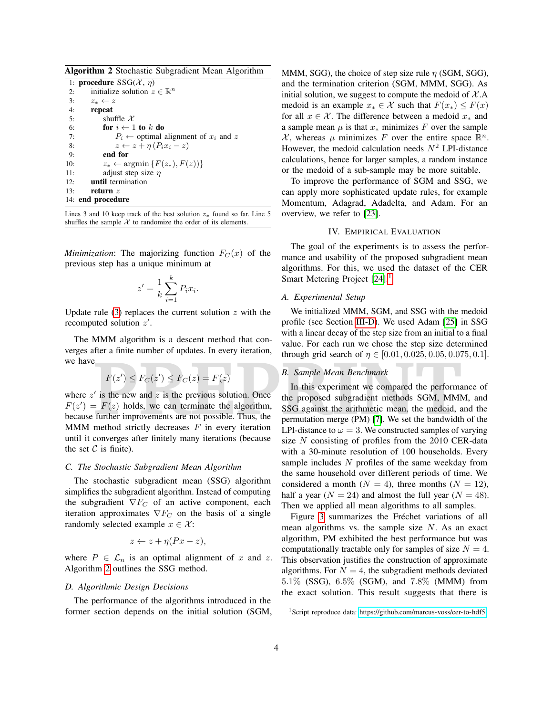<span id="page-3-1"></span>Algorithm 2 Stochastic Subgradient Mean Algorithm

|     | 1: <b>procedure</b> $SSG(\mathcal{X}, \eta)$                |
|-----|-------------------------------------------------------------|
| 2:  | initialize solution $z \in \mathbb{R}^n$                    |
| 3:  | $z_* \leftarrow z$                                          |
| 4:  | repeat                                                      |
| 5:  | shuffle $\mathcal X$                                        |
| 6:  | for $i \leftarrow 1$ to k do                                |
| 7:  | $P_i \leftarrow$ optimal alignment of $x_i$ and z           |
| 8:  | $z \leftarrow z + \eta (P_i x_i - z)$                       |
| 9:  | end for                                                     |
| 10: | $z_* \leftarrow \operatorname{argmin} \{ F(z_*), F(z) ) \}$ |
| 11: | adjust step size $\eta$                                     |
| 12: | until termination                                           |
| 13: | return $z$                                                  |
|     | 14: end procedure                                           |

Lines 3 and 10 keep track of the best solution  $z_*$  found so far. Line 5 shuffles the sample  $X$  to randomize the order of its elements.

*Minimization*: The majorizing function  $F_C(x)$  of the previous step has a unique minimum at

$$
z' = \frac{1}{k} \sum_{i=1}^{k} P_i x_i.
$$

Update rule  $(3)$  replaces the current solution z with the recomputed solution  $z'$ .

The MMM algorithm is a descent method that converges after a finite number of updates. In every iteration, we have

$$
F(z') \le F_C(z') \le F_C(z) = F(z)
$$

where  $z'$  is the new and  $z$  is the previous solution. Once  $F(z') = F(z)$  holds, we can terminate the algorithm, because further improvements are not possible. Thus, the MMM method strictly decreases  $F$  in every iteration until it converges after finitely many iterations (because the set  $C$  is finite).

## *C. The Stochastic Subgradient Mean Algorithm*

The stochastic subgradient mean (SSG) algorithm simplifies the subgradient algorithm. Instead of computing the subgradient  $\nabla F_C$  of an active component, each iteration approximates  $\nabla F_C$  on the basis of a single randomly selected example  $x \in \mathcal{X}$ :

$$
z \leftarrow z + \eta (Px - z),
$$

where  $P \in \mathcal{L}_n$  is an optimal alignment of x and z. Algorithm [2](#page-3-1) outlines the SSG method.

## <span id="page-3-3"></span>*D. Algorithmic Design Decisions*

The performance of the algorithms introduced in the former section depends on the initial solution (SGM, MMM, SGG), the choice of step size rule  $\eta$  (SGM, SGG), and the termination criterion (SGM, MMM, SGG). As initial solution, we suggest to compute the medoid of  $X.A$ medoid is an example  $x_* \in \mathcal{X}$  such that  $F(x_*) \leq F(x)$ for all  $x \in \mathcal{X}$ . The difference between a medoid  $x_*$  and a sample mean  $\mu$  is that  $x_*$  minimizes F over the sample X, whereas  $\mu$  minimizes F over the entire space  $\mathbb{R}^n$ . However, the medoid calculation needs  $N^2$  LPI-distance calculations, hence for larger samples, a random instance or the medoid of a sub-sample may be more suitable.

To improve the performance of SGM and SSG, we can apply more sophisticated update rules, for example Momentum, Adagrad, Adadelta, and Adam. For an overview, we refer to [\[23\]](#page-5-21).

#### IV. EMPIRICAL EVALUATION

<span id="page-3-0"></span>The goal of the experiments is to assess the performance and usability of the proposed subgradient mean algorithms. For this, we used the dataset of the CER Smart Metering Project [\[24\]](#page-5-22).<sup>[1](#page-3-2)</sup>

## *A. Experimental Setup*

We initialized MMM, SGM, and SSG with the medoid profile (see Section [III-D\)](#page-3-3). We used Adam [\[25\]](#page-5-23) in SSG with a linear decay of the step size from an initial to a final value. For each run we chose the step size determined through grid search of  $\eta \in [0.01, 0.025, 0.05, 0.075, 0.1]$ .

# *B. Sample Mean Benchmark*

 $F(z') \leq F_C(z') \leq F_C(z) = F(z)$ <br> **PREPLAIF A PREPAREM PRICIPLE 10.01, 0.025, 0.05, 0.05**<br> **PREPLAIF A PREPAREM PRICIPLE 10.01, 0.025, 0.05, 0.05**<br> **PREPLAIF A PRICIPLE 10.01, 0.025, 0.05, 0.05**<br> **PREPLAIF A PRICIPLE 1** In this experiment we compared the performance of the proposed subgradient methods SGM, MMM, and SSG against the arithmetic mean, the medoid, and the permutation merge (PM) [7]. We set the bandwidth of the LPI-distance to  $\omega = 3$ . We constructed samples of varying size N consisting of profiles from the 2010 CER-data with a 30-minute resolution of 100 households. Every sample includes  $N$  profiles of the same weekday from the same household over different periods of time. We considered a month ( $N = 4$ ), three months ( $N = 12$ ), half a year ( $N = 24$ ) and almost the full year ( $N = 48$ ). Then we applied all mean algorithms to all samples.

> Figure [3](#page-4-0) summarizes the Fréchet variations of all mean algorithms vs. the sample size  $N$ . As an exact algorithm, PM exhibited the best performance but was computationally tractable only for samples of size  $N = 4$ . This observation justifies the construction of approximate algorithms. For  $N = 4$ , the subgradient methods deviated 5.1% (SSG), 6.5% (SGM), and 7.8% (MMM) from the exact solution. This result suggests that there is

<span id="page-3-2"></span><sup>1</sup>Script reproduce data:<https://github.com/marcus-voss/cer-to-hdf5>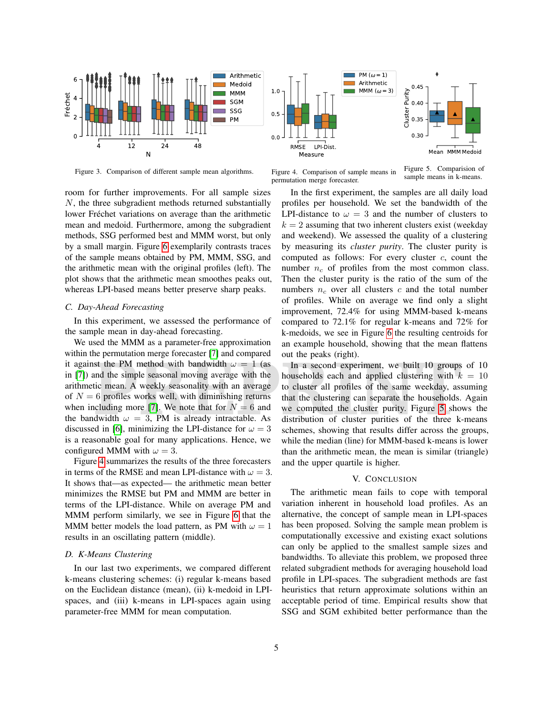

<span id="page-4-0"></span>Figure 3. Comparison of different sample mean algorithms.

room for further improvements. For all sample sizes N, the three subgradient methods returned substantially lower Fréchet variations on average than the arithmetic mean and medoid. Furthermore, among the subgradient methods, SSG performed best and MMM worst, but only by a small margin. Figure [6](#page-5-24) exemplarily contrasts traces of the sample means obtained by PM, MMM, SSG, and the arithmetic mean with the original profiles (left). The plot shows that the arithmetic mean smoothes peaks out, whereas LPI-based means better preserve sharp peaks.

# *C. Day-Ahead Forecasting*

In this experiment, we assessed the performance of the sample mean in day-ahead forecasting.

Extra formulation integrals of the particle of the particle of the particle in the simple seasonal moving average with the **In** a second experiment, we built 10 groups households each and applied clustering with *k* tic m We used the MMM as a parameter-free approximation within the permutation merge forecaster [\[7\]](#page-5-6) and compared it against the PM method with bandwidth  $\omega = 1$  (as in [\[7\]](#page-5-6)) and the simple seasonal moving average with the arithmetic mean. A weekly seasonality with an average of  $N = 6$  profiles works well, with diminishing returns when including more [7]. We note that for  $N = 6$  and the bandwidth  $\omega = 3$ , PM is already intractable. As discussed in [\[6\]](#page-5-5), minimizing the LPI-distance for  $\omega = 3$ is a reasonable goal for many applications. Hence, we configured MMM with  $\omega = 3$ .

Figure [4](#page-4-1) summarizes the results of the three forecasters in terms of the RMSE and mean LPI-distance with  $\omega = 3$ . It shows that—as expected— the arithmetic mean better minimizes the RMSE but PM and MMM are better in terms of the LPI-distance. While on average PM and MMM perform similarly, we see in Figure [6](#page-5-24) that the MMM better models the load pattern, as PM with  $\omega = 1$ results in an oscillating pattern (middle).

#### *D. K-Means Clustering*

In our last two experiments, we compared different k-means clustering schemes: (i) regular k-means based on the Euclidean distance (mean), (ii) k-medoid in LPIspaces, and (iii) k-means in LPI-spaces again using parameter-free MMM for mean computation.



Figure 4. Comparison of sample means in permutation merge forecaster.

<span id="page-4-2"></span>Figure 5. Comparision of sample means in k-means.

<span id="page-4-1"></span>In the first experiment, the samples are all daily load profiles per household. We set the bandwidth of the LPI-distance to  $\omega = 3$  and the number of clusters to  $k = 2$  assuming that two inherent clusters exist (weekday and weekend). We assessed the quality of a clustering by measuring its *cluster purity*. The cluster purity is computed as follows: For every cluster  $c$ , count the number  $n_c$  of profiles from the most common class. Then the cluster purity is the ratio of the sum of the numbers  $n_c$  over all clusters c and the total number of profiles. While on average we find only a slight improvement, 72.4% for using MMM-based k-means compared to 72.1% for regular k-means and 72% for k-medoids, we see in Figure [6](#page-5-24) the resulting centroids for an example household, showing that the mean flattens out the peaks (right).

In a second experiment, we built 10 groups of 10 households each and applied clustering with  $k = 10$ to cluster all profiles of the same weekday, assuming that the clustering can separate the households. Again we computed the cluster purity. Figure 5 shows the distribution of cluster purities of the three k-means schemes, showing that results differ across the groups, while the median (line) for MMM-based k-means is lower than the arithmetic mean, the mean is similar (triangle) and the upper quartile is higher.

#### V. CONCLUSION

The arithmetic mean fails to cope with temporal variation inherent in household load profiles. As an alternative, the concept of sample mean in LPI-spaces has been proposed. Solving the sample mean problem is computationally excessive and existing exact solutions can only be applied to the smallest sample sizes and bandwidths. To alleviate this problem, we proposed three related subgradient methods for averaging household load profile in LPI-spaces. The subgradient methods are fast heuristics that return approximate solutions within an acceptable period of time. Empirical results show that SSG and SGM exhibited better performance than the